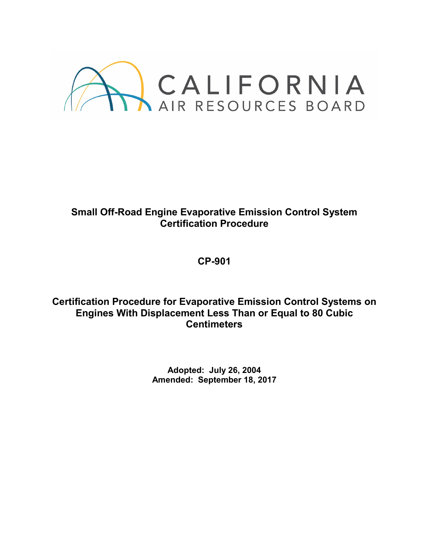

# **Small Off-Road Engine Evaporative Emission Control System Certification Procedure**

**CP-901**

**Certification Procedure for Evaporative Emission Control Systems on Engines With Displacement Less Than or Equal to 80 Cubic Centimeters**

> **Adopted: July 26, 2004 Amended: September 18, 2017**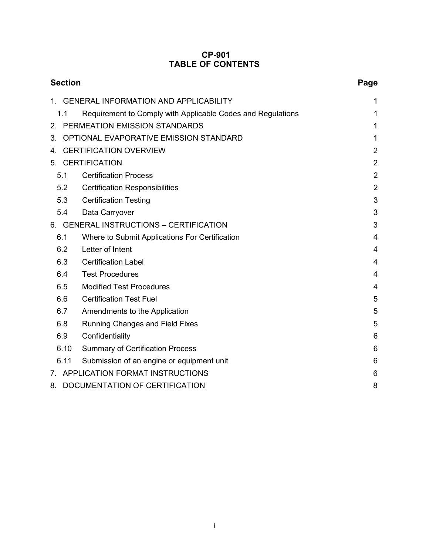## **CP-901 TABLE OF CONTENTS**

| <b>Section</b>                               |                                                             | Page           |  |
|----------------------------------------------|-------------------------------------------------------------|----------------|--|
|                                              | <b>GENERAL INFORMATION AND APPLICABILITY</b>                | 1              |  |
| 1.1                                          | Requirement to Comply with Applicable Codes and Regulations | 1              |  |
| 2. PERMEATION EMISSION STANDARDS             |                                                             | 1              |  |
| OPTIONAL EVAPORATIVE EMISSION STANDARD<br>3. |                                                             | 1              |  |
| 4.                                           | <b>CERTIFICATION OVERVIEW</b>                               |                |  |
| 5. CERTIFICATION                             |                                                             | $\overline{2}$ |  |
| 5.1                                          | <b>Certification Process</b>                                | $\overline{2}$ |  |
| 5.2                                          | <b>Certification Responsibilities</b>                       | $\overline{2}$ |  |
| 5.3                                          | <b>Certification Testing</b>                                | 3              |  |
| 5.4                                          | Data Carryover                                              | 3              |  |
| 6. GENERAL INSTRUCTIONS - CERTIFICATION      |                                                             | 3              |  |
| 6.1                                          | Where to Submit Applications For Certification              | 4              |  |
| 6.2                                          | Letter of Intent                                            | 4              |  |
| 6.3                                          | <b>Certification Label</b>                                  | 4              |  |
| 6.4                                          | <b>Test Procedures</b>                                      | 4              |  |
| 6.5                                          | <b>Modified Test Procedures</b>                             | 4              |  |
| 6.6                                          | <b>Certification Test Fuel</b>                              | 5              |  |
| 6.7                                          | Amendments to the Application                               | 5              |  |
| 6.8                                          | <b>Running Changes and Field Fixes</b>                      | 5              |  |
| 6.9                                          | Confidentiality                                             | 6              |  |
| 6.10                                         | <b>Summary of Certification Process</b>                     | 6              |  |
| 6.11                                         | Submission of an engine or equipment unit                   | 6              |  |
| 7. APPLICATION FORMAT INSTRUCTIONS           |                                                             | 6              |  |
| DOCUMENTATION OF CERTIFICATION<br>8.         |                                                             | 8              |  |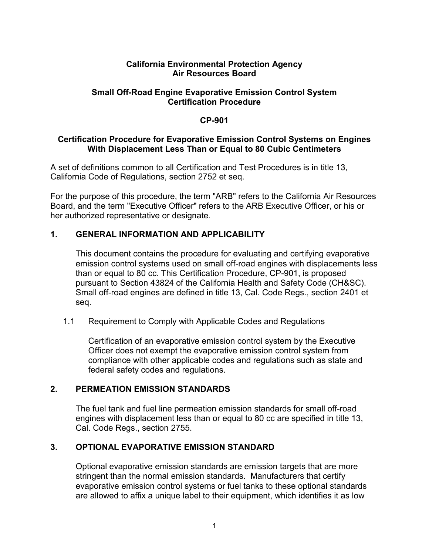#### **California Environmental Protection Agency Air Resources Board**

## **Small Off-Road Engine Evaporative Emission Control System Certification Procedure**

## **CP-901**

#### **Certification Procedure for Evaporative Emission Control Systems on Engines With Displacement Less Than or Equal to 80 Cubic Centimeters**

A set of definitions common to all Certification and Test Procedures is in title 13, California Code of Regulations, section 2752 et seq.

For the purpose of this procedure, the term "ARB" refers to the California Air Resources Board, and the term "Executive Officer" refers to the ARB Executive Officer, or his or her authorized representative or designate.

## **1. GENERAL INFORMATION AND APPLICABILITY**

This document contains the procedure for evaluating and certifying evaporative emission control systems used on small off-road engines with displacements less than or equal to 80 cc. This Certification Procedure, CP-901, is proposed pursuant to Section 43824 of the California Health and Safety Code (CH&SC). Small off-road engines are defined in title 13, Cal. Code Regs., section 2401 et seq.

1.1 Requirement to Comply with Applicable Codes and Regulations

Certification of an evaporative emission control system by the Executive Officer does not exempt the evaporative emission control system from compliance with other applicable codes and regulations such as state and federal safety codes and regulations.

## **2. PERMEATION EMISSION STANDARDS**

The fuel tank and fuel line permeation emission standards for small off-road engines with displacement less than or equal to 80 cc are specified in title 13, Cal. Code Regs., section 2755.

## **3. OPTIONAL EVAPORATIVE EMISSION STANDARD**

Optional evaporative emission standards are emission targets that are more stringent than the normal emission standards. Manufacturers that certify evaporative emission control systems or fuel tanks to these optional standards are allowed to affix a unique label to their equipment, which identifies it as low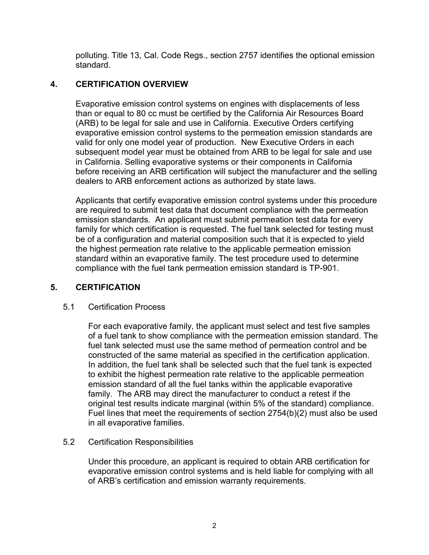polluting. Title 13, Cal. Code Regs., section 2757 identifies the optional emission standard.

# **4. CERTIFICATION OVERVIEW**

Evaporative emission control systems on engines with displacements of less than or equal to 80 cc must be certified by the California Air Resources Board (ARB) to be legal for sale and use in California. Executive Orders certifying evaporative emission control systems to the permeation emission standards are valid for only one model year of production. New Executive Orders in each subsequent model year must be obtained from ARB to be legal for sale and use in California. Selling evaporative systems or their components in California before receiving an ARB certification will subject the manufacturer and the selling dealers to ARB enforcement actions as authorized by state laws.

Applicants that certify evaporative emission control systems under this procedure are required to submit test data that document compliance with the permeation emission standards. An applicant must submit permeation test data for every family for which certification is requested. The fuel tank selected for testing must be of a configuration and material composition such that it is expected to yield the highest permeation rate relative to the applicable permeation emission standard within an evaporative family. The test procedure used to determine compliance with the fuel tank permeation emission standard is TP-901.

# **5. CERTIFICATION**

# 5.1 Certification Process

For each evaporative family, the applicant must select and test five samples of a fuel tank to show compliance with the permeation emission standard. The fuel tank selected must use the same method of permeation control and be constructed of the same material as specified in the certification application. In addition, the fuel tank shall be selected such that the fuel tank is expected to exhibit the highest permeation rate relative to the applicable permeation emission standard of all the fuel tanks within the applicable evaporative family. The ARB may direct the manufacturer to conduct a retest if the original test results indicate marginal (within 5% of the standard) compliance. Fuel lines that meet the requirements of section 2754(b)(2) must also be used in all evaporative families.

# 5.2 Certification Responsibilities

Under this procedure, an applicant is required to obtain ARB certification for evaporative emission control systems and is held liable for complying with all of ARB's certification and emission warranty requirements.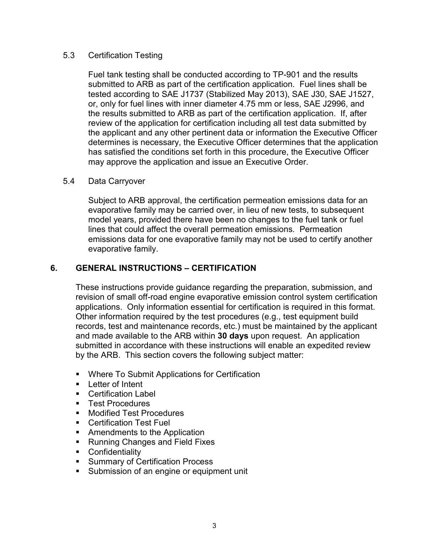## 5.3 Certification Testing

Fuel tank testing shall be conducted according to TP-901 and the results submitted to ARB as part of the certification application. Fuel lines shall be tested according to SAE J1737 (Stabilized May 2013), SAE J30, SAE J1527, or, only for fuel lines with inner diameter 4.75 mm or less, SAE J2996, and the results submitted to ARB as part of the certification application. If, after review of the application for certification including all test data submitted by the applicant and any other pertinent data or information the Executive Officer determines is necessary, the Executive Officer determines that the application has satisfied the conditions set forth in this procedure, the Executive Officer may approve the application and issue an Executive Order.

## 5.4 Data Carryover

Subject to ARB approval, the certification permeation emissions data for an evaporative family may be carried over, in lieu of new tests, to subsequent model years, provided there have been no changes to the fuel tank or fuel lines that could affect the overall permeation emissions. Permeation emissions data for one evaporative family may not be used to certify another evaporative family.

# **6. GENERAL INSTRUCTIONS – CERTIFICATION**

These instructions provide guidance regarding the preparation, submission, and revision of small off-road engine evaporative emission control system certification applications. Only information essential for certification is required in this format. Other information required by the test procedures (e.g., test equipment build records, test and maintenance records, etc.) must be maintained by the applicant and made available to the ARB within **30 days** upon request. An application submitted in accordance with these instructions will enable an expedited review by the ARB. This section covers the following subject matter:

- **Where To Submit Applications for Certification**
- $\blacksquare$  Letter of Intent
- **Certification Label**
- **Test Procedures**
- **Nodified Test Procedures**
- Certification Test Fuel
- **Amendments to the Application**
- Running Changes and Field Fixes
- **Confidentiality**
- **Summary of Certification Process**
- **Submission of an engine or equipment unit**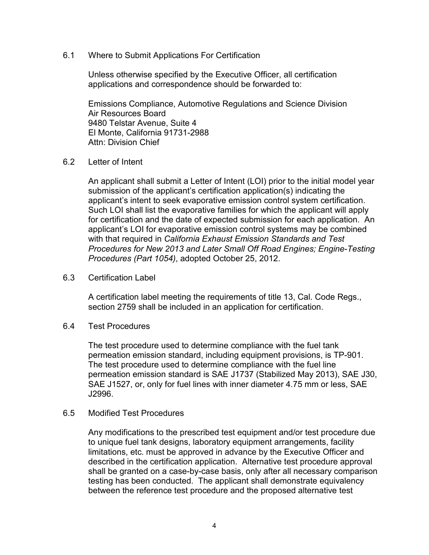6.1 Where to Submit Applications For Certification

Unless otherwise specified by the Executive Officer, all certification applications and correspondence should be forwarded to:

Emissions Compliance, Automotive Regulations and Science Division Air Resources Board 9480 Telstar Avenue, Suite 4 El Monte, California 91731-2988 Attn: Division Chief

#### 6.2 Letter of Intent

An applicant shall submit a Letter of Intent (LOI) prior to the initial model year submission of the applicant's certification application(s) indicating the applicant's intent to seek evaporative emission control system certification. Such LOI shall list the evaporative families for which the applicant will apply for certification and the date of expected submission for each application. An applicant's LOI for evaporative emission control systems may be combined with that required in *California Exhaust Emission Standards and Test Procedures for New 2013 and Later Small Off Road Engines; Engine-Testing Procedures (Part 1054)*, adopted October 25, 2012.

#### 6.3 Certification Label

A certification label meeting the requirements of title 13, Cal. Code Regs., section 2759 shall be included in an application for certification.

#### 6.4 Test Procedures

The test procedure used to determine compliance with the fuel tank permeation emission standard, including equipment provisions, is TP-901. The test procedure used to determine compliance with the fuel line permeation emission standard is SAE J1737 (Stabilized May 2013), SAE J30, SAE J1527, or, only for fuel lines with inner diameter 4.75 mm or less, SAE J2996.

#### 6.5 Modified Test Procedures

Any modifications to the prescribed test equipment and/or test procedure due to unique fuel tank designs, laboratory equipment arrangements, facility limitations, etc. must be approved in advance by the Executive Officer and described in the certification application. Alternative test procedure approval shall be granted on a case-by-case basis, only after all necessary comparison testing has been conducted. The applicant shall demonstrate equivalency between the reference test procedure and the proposed alternative test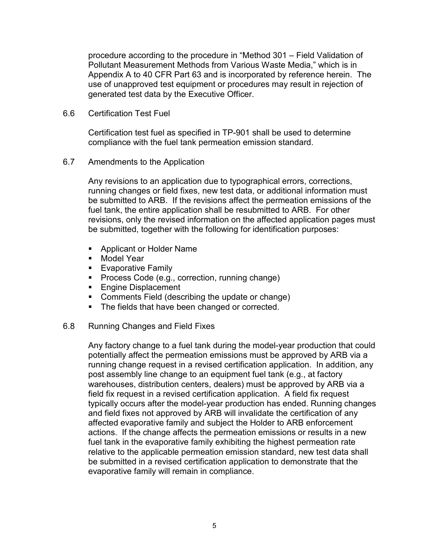procedure according to the procedure in "Method 301 – Field Validation of Pollutant Measurement Methods from Various Waste Media," which is in Appendix A to 40 CFR Part 63 and is incorporated by reference herein. The use of unapproved test equipment or procedures may result in rejection of generated test data by the Executive Officer.

6.6 Certification Test Fuel

Certification test fuel as specified in TP-901 shall be used to determine compliance with the fuel tank permeation emission standard.

6.7 Amendments to the Application

Any revisions to an application due to typographical errors, corrections, running changes or field fixes, new test data, or additional information must be submitted to ARB. If the revisions affect the permeation emissions of the fuel tank, the entire application shall be resubmitted to ARB. For other revisions, only the revised information on the affected application pages must be submitted, together with the following for identification purposes:

- **Applicant or Holder Name**
- **Model Year**
- Evaporative Family
- **Process Code (e.g., correction, running change)**
- **Engine Displacement**
- **Comments Field (describing the update or change)**
- **The fields that have been changed or corrected.**
- 6.8 Running Changes and Field Fixes

Any factory change to a fuel tank during the model-year production that could potentially affect the permeation emissions must be approved by ARB via a running change request in a revised certification application. In addition, any post assembly line change to an equipment fuel tank (e.g., at factory warehouses, distribution centers, dealers) must be approved by ARB via a field fix request in a revised certification application. A field fix request typically occurs after the model-year production has ended. Running changes and field fixes not approved by ARB will invalidate the certification of any affected evaporative family and subject the Holder to ARB enforcement actions. If the change affects the permeation emissions or results in a new fuel tank in the evaporative family exhibiting the highest permeation rate relative to the applicable permeation emission standard, new test data shall be submitted in a revised certification application to demonstrate that the evaporative family will remain in compliance.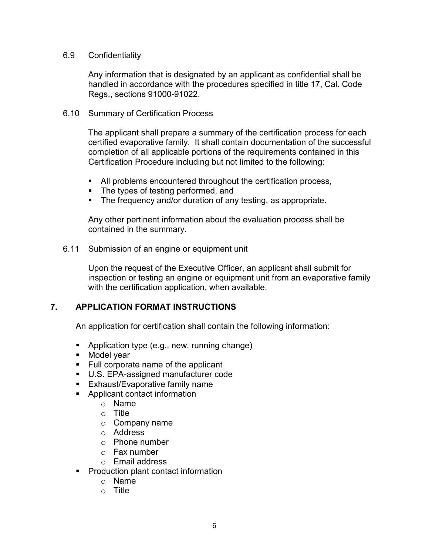#### 6.9 Confidentiality

Any information that is designated by an applicant as confidential shall be handled in accordance with the procedures specified in title 17, Cal. Code Regs., sections 91000-91022.

#### 6.10 Summary of Certification Process

The applicant shall prepare a summary of the certification process for each certified evaporative family. It shall contain documentation of the successful completion of all applicable portions of the requirements contained in this Certification Procedure including but not limited to the following:

- All problems encountered throughout the certification process,
- The types of testing performed, and
- **The frequency and/or duration of any testing, as appropriate.**

Any other pertinent information about the evaluation process shall be contained in the summary.

6.11 Submission of an engine or equipment unit

Upon the request of the Executive Officer, an applicant shall submit for inspection or testing an engine or equipment unit from an evaporative family with the certification application, when available.

## **7. APPLICATION FORMAT INSTRUCTIONS**

An application for certification shall contain the following information:

- **Application type (e.g., new, running change)**
- **Model year**
- Full corporate name of the applicant
- U.S. EPA-assigned manufacturer code
- **Exhaust/Evaporative family name**
- **Applicant contact information** 
	- o Name
	- o Title
	- o Company name
	- o Address
	- o Phone number
	- o Fax number
	- o Email address
- **Production plant contact information** 
	- o Name
	- o Title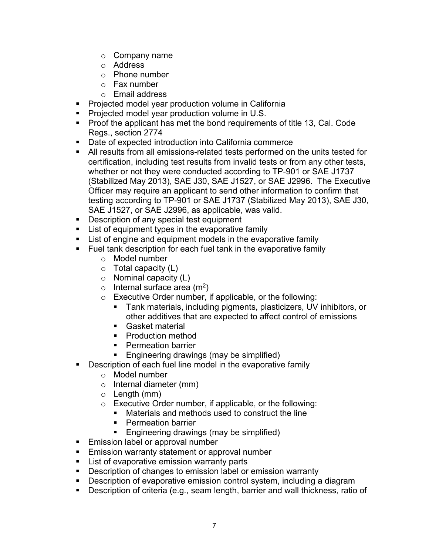- o Company name
- o Address
- o Phone number
- o Fax number
- o Email address
- **Projected model year production volume in California**
- **Projected model year production volume in U.S.**
- Proof the applicant has met the bond requirements of title 13, Cal. Code Regs., section 2774
- Date of expected introduction into California commerce
- All results from all emissions-related tests performed on the units tested for certification, including test results from invalid tests or from any other tests, whether or not they were conducted according to TP-901 or SAE J1737 (Stabilized May 2013), SAE J30, SAE J1527, or SAE J2996. The Executive Officer may require an applicant to send other information to confirm that testing according to TP-901 or SAE J1737 (Stabilized May 2013), SAE J30, SAE J1527, or SAE J2996, as applicable, was valid.
- **Description of any special test equipment**
- **EXECT** List of equipment types in the evaporative family
- **EXECT** List of engine and equipment models in the evaporative family
- **Fuel tank description for each fuel tank in the evaporative family** 
	- o Model number
	- o Total capacity (L)
	- $\circ$  Nominal capacity (L)
	- $\circ$  Internal surface area (m<sup>2</sup>)
	- o Executive Order number, if applicable, or the following:
		- Tank materials, including pigments, plasticizers, UV inhibitors, or other additives that are expected to affect control of emissions
		- Gasket material
		- **Production method**
		- **Permeation barrier**
		- **Engineering drawings (may be simplified)**
- **Description of each fuel line model in the evaporative family** 
	- o Model number
	- o Internal diameter (mm)
	- $\circ$  Length (mm)
	- o Executive Order number, if applicable, or the following:
		- Materials and methods used to construct the line
		- **Permeation barrier**
		- **Engineering drawings (may be simplified)**
- **Emission label or approval number**
- **Emission warranty statement or approval number**
- **List of evaporative emission warranty parts**
- **Description of changes to emission label or emission warranty**
- **Description of evaporative emission control system, including a diagram**
- **Description of criteria (e.g., seam length, barrier and wall thickness, ratio of**